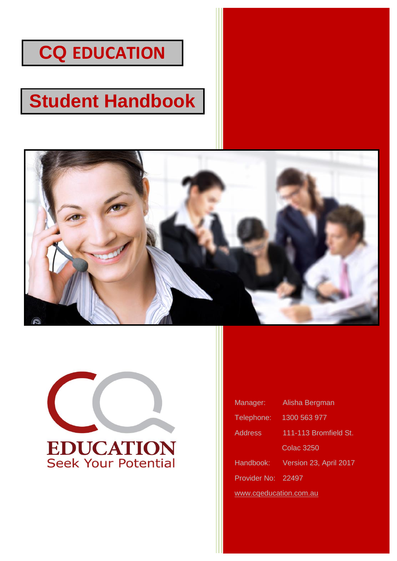# **CQ EDUCATION**

# **Student Handbook**





| Manager:               | Alisha Bergman         |  |
|------------------------|------------------------|--|
| Telephone:             | 1300 563 977           |  |
| Address                | 111-113 Bromfield St.  |  |
|                        | <b>Colac 3250</b>      |  |
| Handbook:              | Version 23, April 2017 |  |
| <b>Provider No:</b>    | 22497                  |  |
| www.cqeducation.com.au |                        |  |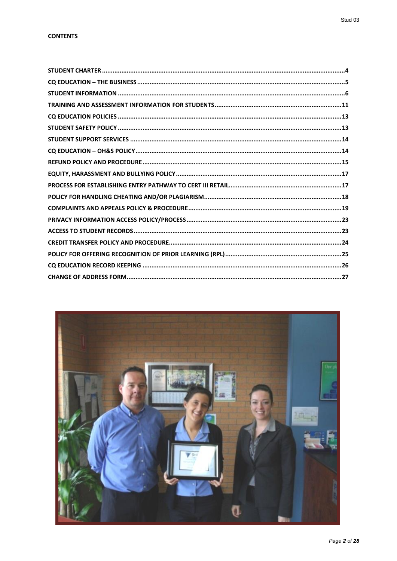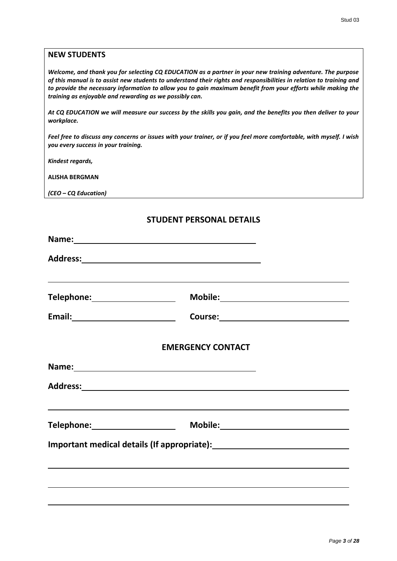# **NEW STUDENTS**

*Welcome, and thank you for selecting CQ EDUCATION as a partner in your new training adventure. The purpose of this manual is to assist new students to understand their rights and responsibilities in relation to training and to provide the necessary information to allow you to gain maximum benefit from your efforts while making the training as enjoyable and rewarding as we possibly can.*

*At CQ EDUCATION we will measure our success by the skills you gain, and the benefits you then deliver to your workplace.*

*Feel free to discuss any concerns or issues with your trainer, or if you feel more comfortable, with myself. I wish you every success in your training.*

*Kindest regards,*

**ALISHA BERGMAN**

*(CEO – CQ Education)*

# **STUDENT PERSONAL DETAILS**

| Telephone: ________________________ | ,我们也不会有什么。""我们的人,我们也不会有什么?""我们的人,我们也不会有什么?""我们的人,我们也不会有什么?""我们的人,我们也不会有什么?""我们的人                                                                                                                                              |  |
|-------------------------------------|-------------------------------------------------------------------------------------------------------------------------------------------------------------------------------------------------------------------------------|--|
|                                     |                                                                                                                                                                                                                               |  |
|                                     | <b>EMERGENCY CONTACT</b>                                                                                                                                                                                                      |  |
|                                     | Name: Name and the second contract of the second contract of the second contract of the second contract of the second contract of the second contract of the second contract of the second contract of the second contract of |  |
|                                     |                                                                                                                                                                                                                               |  |
| Telephone:________________________  | <u> 1999 - Johann Stoff, deutscher Stoff, der Stoff, der Stoff, der Stoff, der Stoff, der Stoff, der Stoff, der S</u>                                                                                                         |  |
|                                     |                                                                                                                                                                                                                               |  |
|                                     |                                                                                                                                                                                                                               |  |
|                                     |                                                                                                                                                                                                                               |  |
|                                     |                                                                                                                                                                                                                               |  |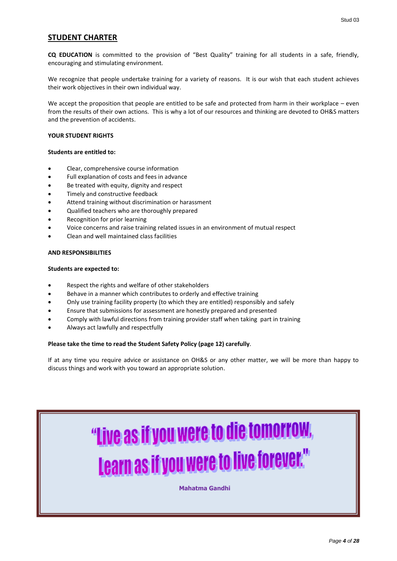# <span id="page-3-0"></span>**STUDENT CHARTER**

**CQ EDUCATION** is committed to the provision of "Best Quality" training for all students in a safe, friendly, encouraging and stimulating environment.

We recognize that people undertake training for a variety of reasons. It is our wish that each student achieves their work objectives in their own individual way.

We accept the proposition that people are entitled to be safe and protected from harm in their workplace – even from the results of their own actions. This is why a lot of our resources and thinking are devoted to OH&S matters and the prevention of accidents.

#### **YOUR STUDENT RIGHTS**

#### **Students are entitled to:**

- Clear, comprehensive course information
- Full explanation of costs and fees in advance
- Be treated with equity, dignity and respect
- Timely and constructive feedback
- Attend training without discrimination or harassment
- Qualified teachers who are thoroughly prepared
- Recognition for prior learning
- Voice concerns and raise training related issues in an environment of mutual respect
- Clean and well maintained class facilities

#### **AND RESPONSIBILITIES**

#### **Students are expected to:**

- Respect the rights and welfare of other stakeholders
- Behave in a manner which contributes to orderly and effective training
- Only use training facility property (to which they are entitled) responsibly and safely
- Ensure that submissions for assessment are honestly prepared and presented
- Comply with lawful directions from training provider staff when taking part in training
- Always act lawfully and respectfully

#### **Please take the time to read the Student Safety Policy (page 12) carefully**.

If at any time you require advice or assistance on OH&S or any other matter, we will be more than happy to discuss things and work with you toward an appropriate solution.

# "Live as if you were to die tomorrow, Learn as if you were to live forever."

**Mahatma Gandhi**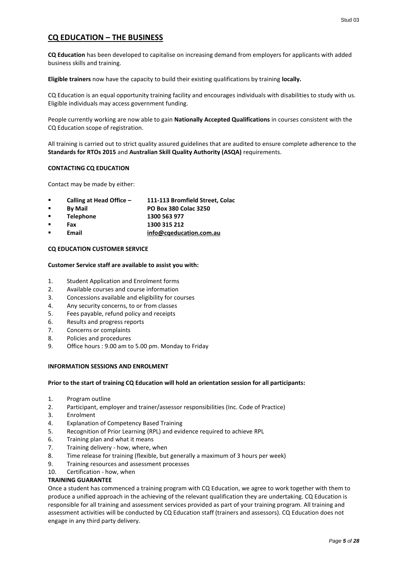# <span id="page-4-0"></span>**CQ EDUCATION – THE BUSINESS**

**CQ Education** has been developed to capitalise on increasing demand from employers for applicants with added business skills and training.

**Eligible trainers** now have the capacity to build their existing qualifications by training **locally.**

CQ Education is an equal opportunity training facility and encourages individuals with disabilities to study with us. Eligible individuals may access government funding.

People currently working are now able to gain **Nationally Accepted Qualifications** in courses consistent with the CQ Education scope of registration.

All training is carried out to strict quality assured guidelines that are audited to ensure complete adherence to the **Standards for RTOs 2015** and **Australian Skill Quality Authority (ASQA)** requirements.

#### **CONTACTING CQ EDUCATION**

Contact may be made by either:

- **Calling at Head Office – 111-113 Bromfield Street, Colac**
- **By Mail PO Box 380 Colac 3250**
- **Telephone 1300 563 977**
- **Fax 1300 315 212**
- **Email [info@cqeducation.com.au](mailto:info@cqeducation.com.au)**

#### **CQ EDUCATION CUSTOMER SERVICE**

#### **Customer Service staff are available to assist you with:**

- 1. Student Application and Enrolment forms
- 2. Available courses and course information
- 3. Concessions available and eligibility for courses
- 4. Any security concerns, to or from classes
- 5. Fees payable, refund policy and receipts
- 6. Results and progress reports
- 7. Concerns or complaints
- 8. Policies and procedures
- 9. Office hours : 9.00 am to 5.00 pm. Monday to Friday

#### **INFORMATION SESSIONS AND ENROLMENT**

#### **Prior to the start of training CQ Education will hold an orientation session for all participants:**

- 1. Program outline
- 2. Participant, employer and trainer/assessor responsibilities (Inc. Code of Practice)
- 3. Enrolment
- 4. Explanation of Competency Based Training
- 5. Recognition of Prior Learning (RPL) and evidence required to achieve RPL
- 6. Training plan and what it means
- 7. Training delivery how, where, when
- 8. Time release for training (flexible, but generally a maximum of 3 hours per week)
- 9. Training resources and assessment processes
- 10. Certification how, when

#### **TRAINING GUARANTEE**

Once a student has commenced a training program with CQ Education, we agree to work together with them to produce a unified approach in the achieving of the relevant qualification they are undertaking. CQ Education is responsible for all training and assessment services provided as part of your training program. All training and assessment activities will be conducted by CQ Education staff (trainers and assessors). CQ Education does not engage in any third party delivery.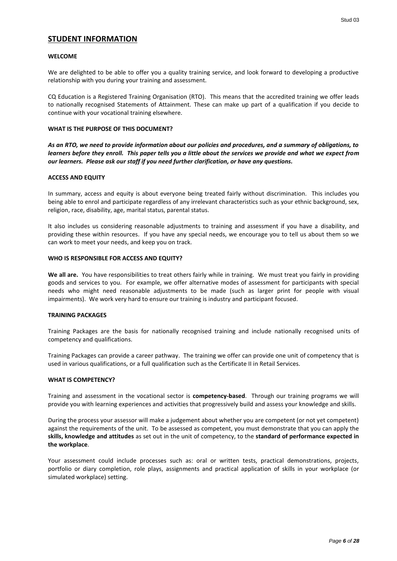# <span id="page-5-0"></span>**STUDENT INFORMATION**

#### **WELCOME**

We are delighted to be able to offer you a quality training service, and look forward to developing a productive relationship with you during your training and assessment.

CQ Education is a Registered Training Organisation (RTO). This means that the accredited training we offer leads to nationally recognised Statements of Attainment. These can make up part of a qualification if you decide to continue with your vocational training elsewhere.

#### **WHAT IS THE PURPOSE OF THIS DOCUMENT?**

*As an RTO, we need to provide information about our policies and procedures, and a summary of obligations, to learners before they enroll. This paper tells you a little about the services we provide and what we expect from our learners. Please ask our staff if you need further clarification, or have any questions.*

#### **ACCESS AND EQUITY**

In summary, access and equity is about everyone being treated fairly without discrimination. This includes you being able to enrol and participate regardless of any irrelevant characteristics such as your ethnic background, sex, religion, race, disability, age, marital status, parental status.

It also includes us considering reasonable adjustments to training and assessment if you have a disability, and providing these within resources. If you have any special needs, we encourage you to tell us about them so we can work to meet your needs, and keep you on track.

#### **WHO IS RESPONSIBLE FOR ACCESS AND EQUITY?**

**We all are.** You have responsibilities to treat others fairly while in training. We must treat you fairly in providing goods and services to you. For example, we offer alternative modes of assessment for participants with special needs who might need reasonable adjustments to be made (such as larger print for people with visual impairments). We work very hard to ensure our training is industry and participant focused.

#### **TRAINING PACKAGES**

Training Packages are the basis for nationally recognised training and include nationally recognised units of competency and qualifications.

Training Packages can provide a career pathway. The training we offer can provide one unit of competency that is used in various qualifications, or a full qualification such as the Certificate II in Retail Services.

#### **WHAT IS COMPETENCY?**

Training and assessment in the vocational sector is **competency-based**. Through our training programs we will provide you with learning experiences and activities that progressively build and assess your knowledge and skills.

During the process your assessor will make a judgement about whether you are competent (or not yet competent) against the requirements of the unit. To be assessed as competent, you must demonstrate that you can apply the **skills, knowledge and attitudes** as set out in the unit of competency, to the **standard of performance expected in the workplace**.

Your assessment could include processes such as: oral or written tests, practical demonstrations, projects, portfolio or diary completion, role plays, assignments and practical application of skills in your workplace (or simulated workplace) setting.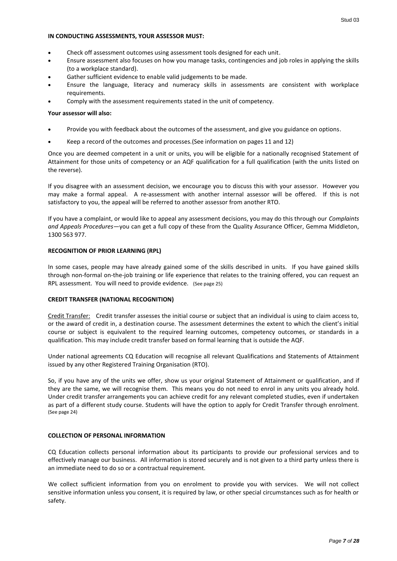#### **IN CONDUCTING ASSESSMENTS, YOUR ASSESSOR MUST:**

- Check off assessment outcomes using assessment tools designed for each unit.
- Ensure assessment also focuses on how you manage tasks, contingencies and job roles in applying the skills (to a workplace standard).
- Gather sufficient evidence to enable valid judgements to be made.
- Ensure the language, literacy and numeracy skills in assessments are consistent with workplace requirements.
- Comply with the assessment requirements stated in the unit of competency.

#### **Your assessor will also:**

- Provide you with feedback about the outcomes of the assessment, and give you guidance on options.
- Keep a record of the outcomes and processes.(See information on pages 11 and 12)

Once you are deemed competent in a unit or units, you will be eligible for a nationally recognised Statement of Attainment for those units of competency or an AQF qualification for a full qualification (with the units listed on the reverse).

If you disagree with an assessment decision, we encourage you to discuss this with your assessor. However you may make a formal appeal. A re-assessment with another internal assessor will be offered. If this is not satisfactory to you, the appeal will be referred to another assessor from another RTO.

If you have a complaint, or would like to appeal any assessment decisions, you may do this through our *Complaints and Appeals Procedures*—you can get a full copy of these from the Quality Assurance Officer, Gemma Middleton, 1300 563 977.

#### **RECOGNITION OF PRIOR LEARNING (RPL)**

In some cases, people may have already gained some of the skills described in units. If you have gained skills through non-formal on-the-job training or life experience that relates to the training offered, you can request an RPL assessment. You will need to provide evidence. (See page 25)

#### **CREDIT TRANSFER (NATIONAL RECOGNITION)**

Credit Transfer: Credit transfer assesses the initial course or subject that an individual is using to claim access to, or the award of credit in, a destination course. The assessment determines the extent to which the client's initial course or subject is equivalent to the required learning outcomes, competency outcomes, or standards in a qualification. This may include credit transfer based on formal learning that is outside the AQF.

Under national agreements CQ Education will recognise all relevant Qualifications and Statements of Attainment issued by any other Registered Training Organisation (RTO).

So, if you have any of the units we offer, show us your original Statement of Attainment or qualification, and if they are the same, we will recognise them. This means you do not need to enrol in any units you already hold. Under credit transfer arrangements you can achieve credit for any relevant completed studies, even if undertaken as part of a different study course. Students will have the option to apply for Credit Transfer through enrolment. (See page 24)

#### **COLLECTION OF PERSONAL INFORMATION**

CQ Education collects personal information about its participants to provide our professional services and to effectively manage our business. All information is stored securely and is not given to a third party unless there is an immediate need to do so or a contractual requirement.

We collect sufficient information from you on enrolment to provide you with services. We will not collect sensitive information unless you consent, it is required by law, or other special circumstances such as for health or safety.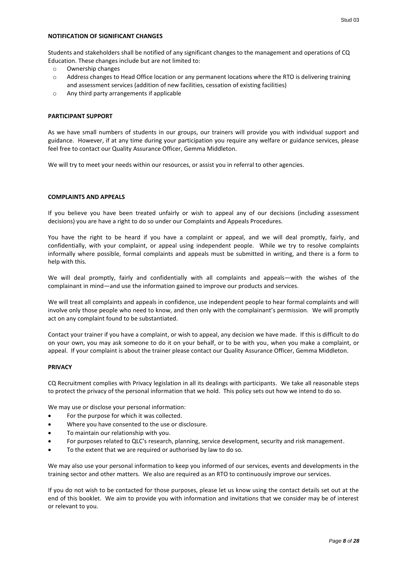Students and stakeholders shall be notified of any significant changes to the management and operations of CQ Education. These changes include but are not limited to:

- o Ownership changes
- o Address changes to Head Office location or any permanent locations where the RTO is delivering training and assessment services (addition of new facilities, cessation of existing facilities)
- o Any third party arrangements if applicable

#### **PARTICIPANT SUPPORT**

As we have small numbers of students in our groups, our trainers will provide you with individual support and guidance. However, if at any time during your participation you require any welfare or guidance services, please feel free to contact our Quality Assurance Officer, Gemma Middleton.

We will try to meet your needs within our resources, or assist you in referral to other agencies.

#### **COMPLAINTS AND APPEALS**

If you believe you have been treated unfairly or wish to appeal any of our decisions (including assessment decisions) you are have a right to do so under our Complaints and Appeals Procedures.

You have the right to be heard if you have a complaint or appeal, and we will deal promptly, fairly, and confidentially, with your complaint, or appeal using independent people. While we try to resolve complaints informally where possible, formal complaints and appeals must be submitted in writing, and there is a form to help with this.

We will deal promptly, fairly and confidentially with all complaints and appeals—with the wishes of the complainant in mind—and use the information gained to improve our products and services.

We will treat all complaints and appeals in confidence, use independent people to hear formal complaints and will involve only those people who need to know, and then only with the complainant's permission. We will promptly act on any complaint found to be substantiated.

Contact your trainer if you have a complaint, or wish to appeal, any decision we have made. If this is difficult to do on your own, you may ask someone to do it on your behalf, or to be with you, when you make a complaint, or appeal. If your complaint is about the trainer please contact our Quality Assurance Officer, Gemma Middleton.

#### **PRIVACY**

CQ Recruitment complies with Privacy legislation in all its dealings with participants. We take all reasonable steps to protect the privacy of the personal information that we hold. This policy sets out how we intend to do so.

We may use or disclose your personal information:

- For the purpose for which it was collected.
- Where you have consented to the use or disclosure.
- To maintain our relationship with you.
- For purposes related to QLC's research, planning, service development, security and risk management.
- To the extent that we are required or authorised by law to do so.

We may also use your personal information to keep you informed of our services, events and developments in the training sector and other matters. We also are required as an RTO to continuously improve our services.

If you do not wish to be contacted for those purposes, please let us know using the contact details set out at the end of this booklet. We aim to provide you with information and invitations that we consider may be of interest or relevant to you.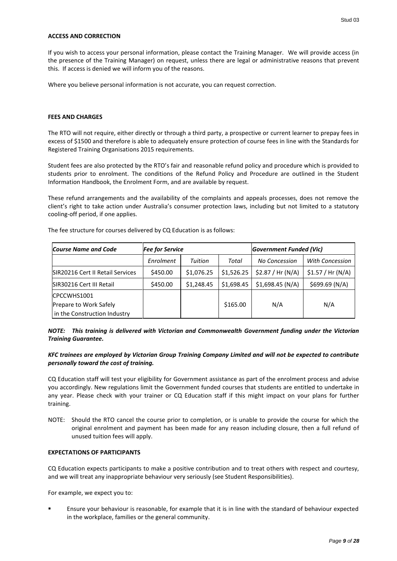If you wish to access your personal information, please contact the Training Manager. We will provide access (in the presence of the Training Manager) on request, unless there are legal or administrative reasons that prevent this. If access is denied we will inform you of the reasons.

Where you believe personal information is not accurate, you can request correction.

#### **FEES AND CHARGES**

The RTO will not require, either directly or through a third party, a prospective or current learner to prepay fees in excess of \$1500 and therefore is able to adequately ensure protection of course fees in line with the Standards for Registered Training Organisations 2015 requirements.

Student fees are also protected by the RTO's fair and reasonable refund policy and procedure which is provided to students prior to enrolment. The conditions of the Refund Policy and Procedure are outlined in the Student Information Handbook, the Enrolment Form, and are available by request.

These refund arrangements and the availability of the complaints and appeals processes, does not remove the client's right to take action under Australia's consumer protection laws, including but not limited to a statutory cooling-off period, if one applies.

| <b>Course Name and Code</b>      | <b>Fee for Service</b> |            |            | Government Funded (Vic) |                  |
|----------------------------------|------------------------|------------|------------|-------------------------|------------------|
|                                  | Enrolment              | Tuition    | Total      | No Concession           | With Concession  |
| SIR20216 Cert II Retail Services | \$450.00               | \$1,076.25 | \$1,526.25 | \$2.87 / Hr(N/A)        | \$1.57 / Hr(N/A) |
| SIR30216 Cert III Retail         | \$450.00               | \$1,248.45 | \$1,698.45 | \$1,698.45(N/A)         | \$699.69(N/A)    |
| ICPCCWHS1001                     |                        |            |            |                         |                  |
| Prepare to Work Safely           |                        |            | \$165.00   | N/A                     | N/A              |
| in the Construction Industry     |                        |            |            |                         |                  |

The fee structure for courses delivered by CQ Education is as follows:

*NOTE: This training is delivered with Victorian and Commonwealth Government funding under the Victorian Training Guarantee.*

#### *KFC trainees are employed by Victorian Group Training Company Limited and will not be expected to contribute personally toward the cost of training.*

CQ Education staff will test your eligibility for Government assistance as part of the enrolment process and advise you accordingly. New regulations limit the Government funded courses that students are entitled to undertake in any year. Please check with your trainer or CQ Education staff if this might impact on your plans for further training.

NOTE: Should the RTO cancel the course prior to completion, or is unable to provide the course for which the original enrolment and payment has been made for any reason including closure, then a full refund of unused tuition fees will apply.

## **EXPECTATIONS OF PARTICIPANTS**

CQ Education expects participants to make a positive contribution and to treat others with respect and courtesy, and we will treat any inappropriate behaviour very seriously (see Student Responsibilities).

For example, we expect you to:

 Ensure your behaviour is reasonable, for example that it is in line with the standard of behaviour expected in the workplace, families or the general community.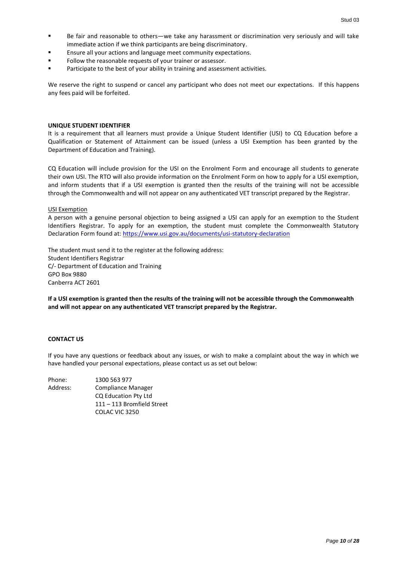- Be fair and reasonable to others—we take any harassment or discrimination very seriously and will take immediate action if we think participants are being discriminatory.
- **Ensure all your actions and language meet community expectations.**
- Follow the reasonable requests of your trainer or assessor.
- **Participate to the best of your ability in training and assessment activities.**

We reserve the right to suspend or cancel any participant who does not meet our expectations. If this happens any fees paid will be forfeited.

#### **UNIQUE STUDENT IDENTIFIER**

It is a requirement that all learners must provide a Unique Student Identifier (USI) to CQ Education before a Qualification or Statement of Attainment can be issued (unless a USI Exemption has been granted by the Department of Education and Training).

CQ Education will include provision for the USI on the Enrolment Form and encourage all students to generate their own USI. The RTO will also provide information on the Enrolment Form on how to apply for a USI exemption, and inform students that if a USI exemption is granted then the results of the training will not be accessible through the Commonwealth and will not appear on any authenticated VET transcript prepared by the Registrar.

#### USI Exemption

A person with a genuine personal objection to being assigned a USI can apply for an exemption to the Student Identifiers Registrar. To apply for an exemption, the student must complete the Commonwealth Statutory Declaration Form found at:<https://www.usi.gov.au/documents/usi-statutory-declaration>

The student must send it to the register at the following address: Student Identifiers Registrar C/- Department of Education and Training GPO Box 9880 Canberra ACT 2601

**If a USI exemption is granted then the results of the training will not be accessible through the Commonwealth and will not appear on any authenticated VET transcript prepared by the Registrar.**

#### **CONTACT US**

If you have any questions or feedback about any issues, or wish to make a complaint about the way in which we have handled your personal expectations, please contact us as set out below:

| Phone:   | 1300 563 977                |
|----------|-----------------------------|
| Address: | Compliance Manager          |
|          | <b>CQ Education Pty Ltd</b> |
|          | 111 - 113 Bromfield Street  |
|          | COLAC VIC 3250              |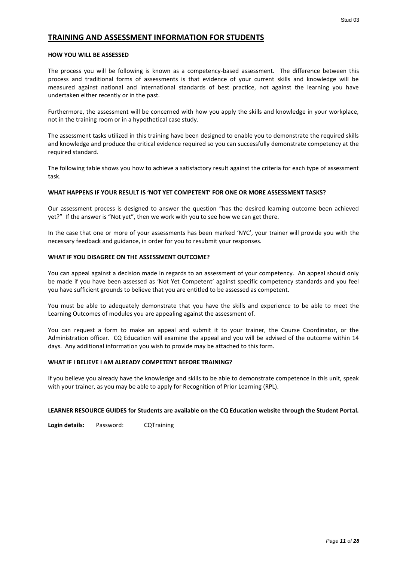# <span id="page-10-0"></span>**TRAINING AND ASSESSMENT INFORMATION FOR STUDENTS**

#### **HOW YOU WILL BE ASSESSED**

The process you will be following is known as a competency-based assessment. The difference between this process and traditional forms of assessments is that evidence of your current skills and knowledge will be measured against national and international standards of best practice, not against the learning you have undertaken either recently or in the past.

Furthermore, the assessment will be concerned with how you apply the skills and knowledge in your workplace, not in the training room or in a hypothetical case study.

The assessment tasks utilized in this training have been designed to enable you to demonstrate the required skills and knowledge and produce the critical evidence required so you can successfully demonstrate competency at the required standard.

The following table shows you how to achieve a satisfactory result against the criteria for each type of assessment task.

#### **WHAT HAPPENS IF YOUR RESULT IS 'NOT YET COMPETENT' FOR ONE OR MORE ASSESSMENT TASKS?**

Our assessment process is designed to answer the question "has the desired learning outcome been achieved yet?" If the answer is "Not yet", then we work with you to see how we can get there.

In the case that one or more of your assessments has been marked 'NYC', your trainer will provide you with the necessary feedback and guidance, in order for you to resubmit your responses.

#### **WHAT IF YOU DISAGREE ON THE ASSESSMENT OUTCOME?**

You can appeal against a decision made in regards to an assessment of your competency. An appeal should only be made if you have been assessed as 'Not Yet Competent' against specific competency standards and you feel you have sufficient grounds to believe that you are entitled to be assessed as competent.

You must be able to adequately demonstrate that you have the skills and experience to be able to meet the Learning Outcomes of modules you are appealing against the assessment of.

You can request a form to make an appeal and submit it to your trainer, the Course Coordinator, or the Administration officer. CQ Education will examine the appeal and you will be advised of the outcome within 14 days. Any additional information you wish to provide may be attached to this form.

#### **WHAT IF I BELIEVE I AM ALREADY COMPETENT BEFORE TRAINING?**

If you believe you already have the knowledge and skills to be able to demonstrate competence in this unit, speak with your trainer, as you may be able to apply for Recognition of Prior Learning (RPL).

#### **LEARNER RESOURCE GUIDES for Students are available on the CQ Education website through the Student Portal.**

**Login details:** Password: CQTraining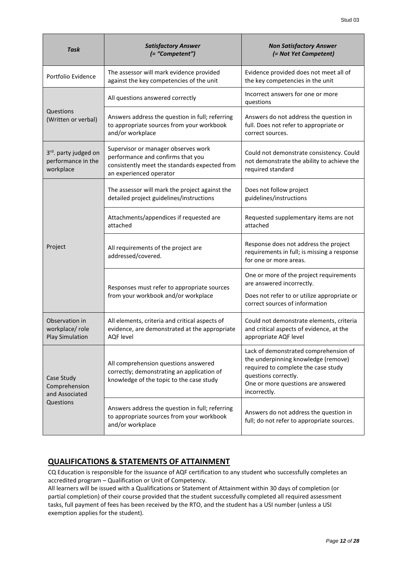| <b>Task</b>                                                          | <b>Satisfactory Answer</b><br>(= "Competent")                                                                                                        | <b>Non Satisfactory Answer</b><br>(= Not Yet Competent)                                                                                                                                           |
|----------------------------------------------------------------------|------------------------------------------------------------------------------------------------------------------------------------------------------|---------------------------------------------------------------------------------------------------------------------------------------------------------------------------------------------------|
| Portfolio Evidence                                                   | The assessor will mark evidence provided<br>against the key competencies of the unit                                                                 | Evidence provided does not meet all of<br>the key competencies in the unit                                                                                                                        |
|                                                                      | All questions answered correctly                                                                                                                     | Incorrect answers for one or more<br>questions                                                                                                                                                    |
| Questions<br>(Written or verbal)                                     | Answers address the question in full; referring<br>to appropriate sources from your workbook<br>and/or workplace                                     | Answers do not address the question in<br>full. Does not refer to appropriate or<br>correct sources.                                                                                              |
| 3 <sup>rd</sup> . party judged on<br>performance in the<br>workplace | Supervisor or manager observes work<br>performance and confirms that you<br>consistently meet the standards expected from<br>an experienced operator | Could not demonstrate consistency. Could<br>not demonstrate the ability to achieve the<br>required standard                                                                                       |
|                                                                      | The assessor will mark the project against the<br>detailed project guidelines/instructions                                                           | Does not follow project<br>guidelines/instructions                                                                                                                                                |
|                                                                      | Attachments/appendices if requested are<br>attached                                                                                                  | Requested supplementary items are not<br>attached                                                                                                                                                 |
| Project                                                              | All requirements of the project are<br>addressed/covered.                                                                                            | Response does not address the project<br>requirements in full; is missing a response<br>for one or more areas.                                                                                    |
|                                                                      | Responses must refer to appropriate sources                                                                                                          | One or more of the project requirements<br>are answered incorrectly.                                                                                                                              |
|                                                                      | from your workbook and/or workplace                                                                                                                  | Does not refer to or utilize appropriate or<br>correct sources of information                                                                                                                     |
| Observation in<br>workplace/role<br><b>Play Simulation</b>           | All elements, criteria and critical aspects of<br>evidence, are demonstrated at the appropriate<br><b>AQF</b> level                                  | Could not demonstrate elements, criteria<br>and critical aspects of evidence, at the<br>appropriate AQF level                                                                                     |
| Case Study<br>Comprehension<br>and Associated                        | All comprehension questions answered<br>correctly; demonstrating an application of<br>knowledge of the topic to the case study                       | Lack of demonstrated comprehension of<br>the underpinning knowledge (remove)<br>required to complete the case study<br>questions correctly.<br>One or more questions are answered<br>incorrectly. |
| Questions                                                            | Answers address the question in full; referring<br>to appropriate sources from your workbook<br>and/or workplace                                     | Answers do not address the question in<br>full; do not refer to appropriate sources.                                                                                                              |

# **QUALIFICATIONS & STATEMENTS OF ATTAINMENT**

CQ Education is responsible for the issuance of AQF certification to any student who successfully completes an accredited program – Qualification or Unit of Competency.

All learners will be issued with a Qualifications or Statement of Attainment within 30 days of completion (or partial completion) of their course provided that the student successfully completed all required assessment tasks, full payment of fees has been received by the RTO, and the student has a USI number (unless a USI exemption applies for the student).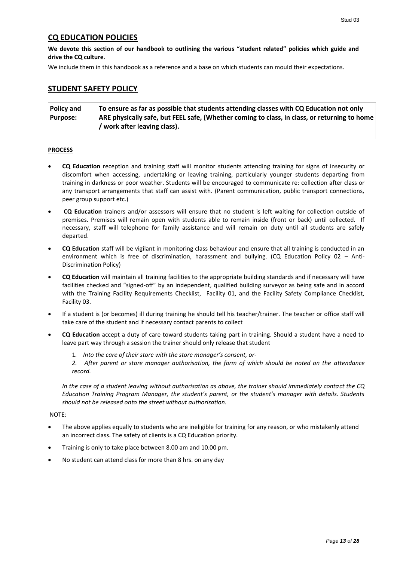# <span id="page-12-0"></span>**CQ EDUCATION POLICIES**

**We devote this section of our handbook to outlining the various "student related" policies which guide and drive the CQ culture**.

We include them in this handbook as a reference and a base on which students can mould their expectations.

## <span id="page-12-1"></span>**STUDENT SAFETY POLICY**

**Policy and Purpose: To ensure as far as possible that students attending classes with CQ Education not only ARE physically safe, but FEEL safe, (Whether coming to class, in class, or returning to home / work after leaving class).**

#### **PROCESS**

- **CQ Education** reception and training staff will monitor students attending training for signs of insecurity or discomfort when accessing, undertaking or leaving training, particularly younger students departing from training in darkness or poor weather. Students will be encouraged to communicate re: collection after class or any transport arrangements that staff can assist with. (Parent communication, public transport connections, peer group support etc.)
- **CQ Education** trainers and/or assessors will ensure that no student is left waiting for collection outside of premises. Premises will remain open with students able to remain inside (front or back) until collected. If necessary, staff will telephone for family assistance and will remain on duty until all students are safely departed.
- **CQ Education** staff will be vigilant in monitoring class behaviour and ensure that all training is conducted in an environment which is free of discrimination, harassment and bullying. (CQ Education Policy 02 – Anti-Discrimination Policy)
- **CQ Education** will maintain all training facilities to the appropriate building standards and if necessary will have facilities checked and "signed-off" by an independent, qualified building surveyor as being safe and in accord with the Training Facility Requirements Checklist, Facility 01, and the Facility Safety Compliance Checklist, Facility 03.
- If a student is (or becomes) ill during training he should tell his teacher/trainer. The teacher or office staff will take care of the student and if necessary contact parents to collect
- **CQ Education** accept a duty of care toward students taking part in training. Should a student have a need to leave part way through a session the trainer should only release that student
	- 1*. Into the care of their store with the store manager's consent, or-*

*2. After parent or store manager authorisation, the form of which should be noted on the attendance record.*

*In the case of a student leaving without authorisation as above, the trainer should immediately contact the CQ Education Training Program Manager, the student's parent, or the student's manager with details. Students should not be released onto the street without authorisation.*

#### NOTE:

- The above applies equally to students who are ineligible for training for any reason, or who mistakenly attend an incorrect class. The safety of clients is a CQ Education priority.
- Training is only to take place between 8.00 am and 10.00 pm.
- <span id="page-12-2"></span>No student can attend class for more than 8 hrs. on any day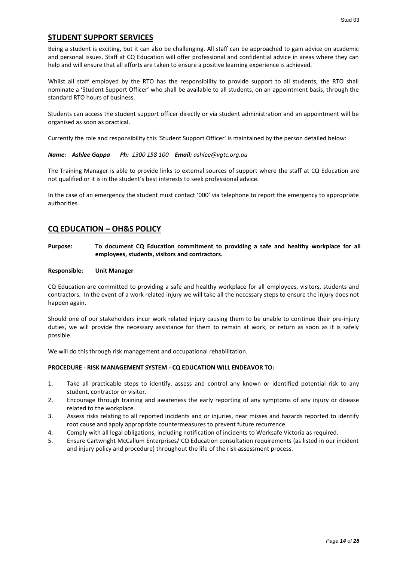#### **STUDENT SUPPORT SERVICES**

Being a student is exciting, but it can also be challenging. All staff can be approached to gain advice on academic and personal issues. Staff at CQ Education will offer professional and confidential advice in areas where they can help and will ensure that all efforts are taken to ensure a positive learning experience is achieved.

Whilst all staff employed by the RTO has the responsibility to provide support to all students, the RTO shall nominate a 'Student Support Officer' who shall be available to all students, on an appointment basis, through the standard RTO hours of business.

Students can access the student support officer directly or via student administration and an appointment will be organised as soon as practical.

Currently the role and responsibility this 'Student Support Officer' is maintained by the person detailed below:

#### *Name: Ashlee Gappa Ph: 1300 158 100 Email: ashlee@vgtc.org.au*

The Training Manager is able to provide links to external sources of support where the staff at CQ Education are not qualified or it is in the student's best interests to seek professional advice.

In the case of an emergency the student must contact '000' via telephone to report the emergency to appropriate authorities.

#### <span id="page-13-0"></span>**CQ EDUCATION – OH&S POLICY**

#### **Purpose: To document CQ Education commitment to providing a safe and healthy workplace for all employees, students, visitors and contractors.**

#### **Responsible: Unit Manager**

CQ Education are committed to providing a safe and healthy workplace for all employees, visitors, students and contractors. In the event of a work related injury we will take all the necessary steps to ensure the injury does not happen again.

Should one of our stakeholders incur work related injury causing them to be unable to continue their pre-injury duties, we will provide the necessary assistance for them to remain at work, or return as soon as it is safely possible.

We will do this through risk management and occupational rehabilitation.

#### **PROCEDURE - RISK MANAGEMENT SYSTEM - CQ EDUCATION WILL ENDEAVOR TO:**

- 1. Take all practicable steps to identify, assess and control any known or identified potential risk to any student, contractor or visitor.
- 2. Encourage through training and awareness the early reporting of any symptoms of any injury or disease related to the workplace.
- 3. Assess risks relating to all reported incidents and or injuries, near misses and hazards reported to identify root cause and apply appropriate countermeasures to prevent future recurrence.
- 4. Comply with all legal obligations, including notification of incidents to Worksafe Victoria as required.
- 5. Ensure Cartwright McCallum Enterprises/ CQ Education consultation requirements (as listed in our incident and injury policy and procedure) throughout the life of the risk assessment process.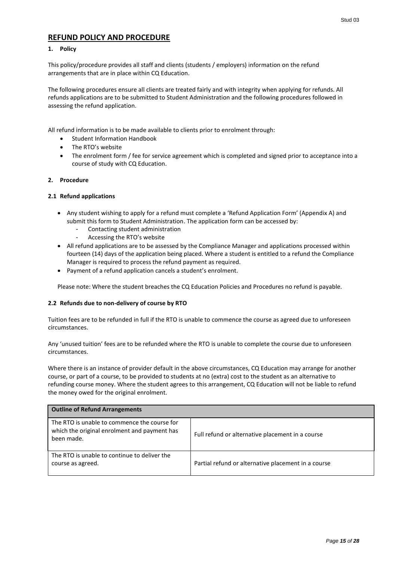# <span id="page-14-0"></span>**REFUND POLICY AND PROCEDURE**

#### **1. Policy**

This policy/procedure provides all staff and clients (students / employers) information on the refund arrangements that are in place within CQ Education.

The following procedures ensure all clients are treated fairly and with integrity when applying for refunds. All refunds applications are to be submitted to Student Administration and the following procedures followed in assessing the refund application.

All refund information is to be made available to clients prior to enrolment through:

- Student Information Handbook
- The RTO's website
- The enrolment form / fee for service agreement which is completed and signed prior to acceptance into a course of study with CQ Education.

#### **2. Procedure**

#### **2.1 Refund applications**

- Any student wishing to apply for a refund must complete a 'Refund Application Form' (Appendix A) and submit this form to Student Administration. The application form can be accessed by:
	- Contacting student administration
	- Accessing the RTO's website
- All refund applications are to be assessed by the Compliance Manager and applications processed within fourteen (14) days of the application being placed. Where a student is entitled to a refund the Compliance Manager is required to process the refund payment as required.
- Payment of a refund application cancels a student's enrolment.

Please note: Where the student breaches the CQ Education Policies and Procedures no refund is payable.

#### **2.2 Refunds due to non-delivery of course by RTO**

Tuition fees are to be refunded in full if the RTO is unable to commence the course as agreed due to unforeseen circumstances.

Any 'unused tuition' fees are to be refunded where the RTO is unable to complete the course due to unforeseen circumstances.

Where there is an instance of provider default in the above circumstances, CQ Education may arrange for another course, or part of a course, to be provided to students at no (extra) cost to the student as an alternative to refunding course money. Where the student agrees to this arrangement, CQ Education will not be liable to refund the money owed for the original enrolment.

| <b>Outline of Refund Arrangements</b>                                                                      |                                                     |
|------------------------------------------------------------------------------------------------------------|-----------------------------------------------------|
| The RTO is unable to commence the course for<br>which the original enrolment and payment has<br>been made. | Full refund or alternative placement in a course    |
| The RTO is unable to continue to deliver the<br>course as agreed.                                          | Partial refund or alternative placement in a course |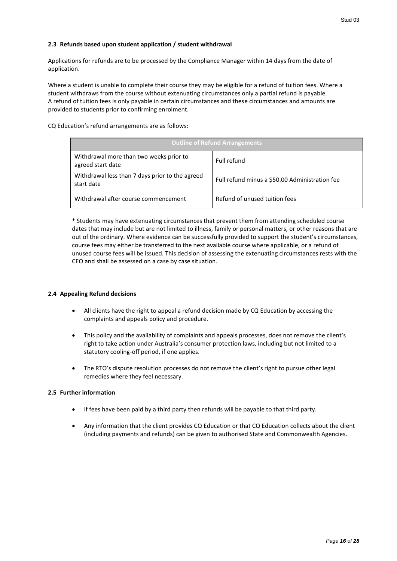#### **2.3 Refunds based upon student application / student withdrawal**

Applications for refunds are to be processed by the Compliance Manager within 14 days from the date of application.

Where a student is unable to complete their course they may be eligible for a refund of tuition fees. Where a student withdraws from the course without extenuating circumstances only a partial refund is payable. A refund of tuition fees is only payable in certain circumstances and these circumstances and amounts are provided to students prior to confirming enrolment.

#### CQ Education's refund arrangements are as follows:

| <b>Outline of Refund Arrangements</b>                         |                                                |  |
|---------------------------------------------------------------|------------------------------------------------|--|
| Withdrawal more than two weeks prior to<br>agreed start date  | Full refund                                    |  |
| Withdrawal less than 7 days prior to the agreed<br>start date | Full refund minus a \$50.00 Administration fee |  |
| Withdrawal after course commencement                          | Refund of unused tuition fees                  |  |

\* Students may have extenuating circumstances that prevent them from attending scheduled course dates that may include but are not limited to illness, family or personal matters, or other reasons that are out of the ordinary. Where evidence can be successfully provided to support the student's circumstances, course fees may either be transferred to the next available course where applicable, or a refund of unused course fees will be issued. This decision of assessing the extenuating circumstances rests with the CEO and shall be assessed on a case by case situation.

#### **2.4 Appealing Refund decisions**

- All clients have the right to appeal a refund decision made by CQ Education by accessing the complaints and appeals policy and procedure.
- This policy and the availability of complaints and appeals processes, does not remove the client's right to take action under Australia's consumer protection laws, including but not limited to a statutory cooling-off period, if one applies.
- The RTO's dispute resolution processes do not remove the client's right to pursue other legal remedies where they feel necessary.

#### **2.5 Further information**

- If fees have been paid by a third party then refunds will be payable to that third party.
- Any information that the client provides CQ Education or that CQ Education collects about the client (including payments and refunds) can be given to authorised State and Commonwealth Agencies.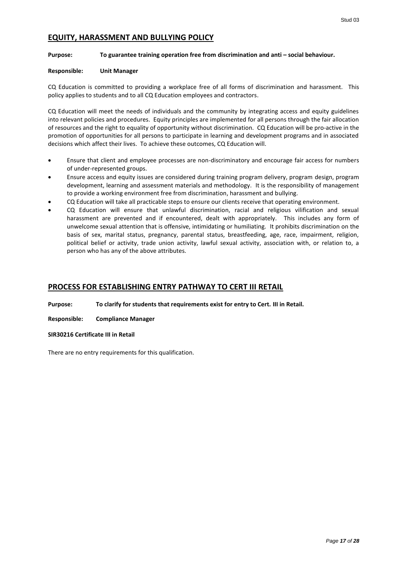# <span id="page-16-0"></span>**EQUITY, HARASSMENT AND BULLYING POLICY**

#### **Purpose: To guarantee training operation free from discrimination and anti – social behaviour.**

#### **Responsible: Unit Manager**

CQ Education is committed to providing a workplace free of all forms of discrimination and harassment. This policy applies to students and to all CQ Education employees and contractors.

CQ Education will meet the needs of individuals and the community by integrating access and equity guidelines into relevant policies and procedures. Equity principles are implemented for all persons through the fair allocation of resources and the right to equality of opportunity without discrimination. CQ Education will be pro-active in the promotion of opportunities for all persons to participate in learning and development programs and in associated decisions which affect their lives. To achieve these outcomes, CQ Education will.

- Ensure that client and employee processes are non-discriminatory and encourage fair access for numbers of under-represented groups.
- Ensure access and equity issues are considered during training program delivery, program design, program development, learning and assessment materials and methodology. It is the responsibility of management to provide a working environment free from discrimination, harassment and bullying.
- CQ Education will take all practicable steps to ensure our clients receive that operating environment.
- CQ Education will ensure that unlawful discrimination, racial and religious vilification and sexual harassment are prevented and if encountered, dealt with appropriately. This includes any form of unwelcome sexual attention that is offensive, intimidating or humiliating. It prohibits discrimination on the basis of sex, marital status, pregnancy, parental status, breastfeeding, age, race, impairment, religion, political belief or activity, trade union activity, lawful sexual activity, association with, or relation to, a person who has any of the above attributes.

# <span id="page-16-1"></span>**PROCESS FOR ESTABLISHING ENTRY PATHWAY TO CERT III RETAIL**

**Purpose: To clarify for students that requirements exist for entry to Cert. III in Retail.**

**Responsible: Compliance Manager**

**SIR30216 Certificate III in Retail** 

There are no entry requirements for this qualification.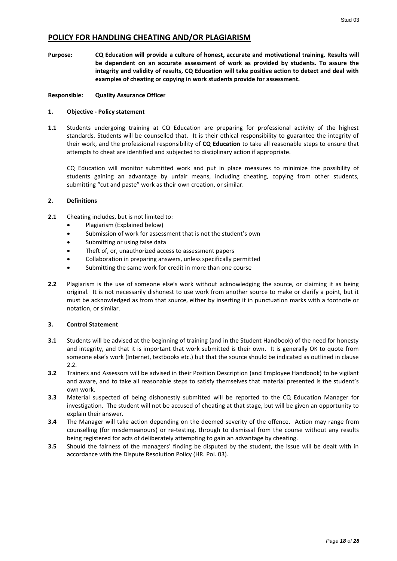# <span id="page-17-0"></span>**POLICY FOR HANDLING CHEATING AND/OR PLAGIARISM**

**Purpose: CQ Education will provide a culture of honest, accurate and motivational training. Results will be dependent on an accurate assessment of work as provided by students. To assure the integrity and validity of results, CQ Education will take positive action to detect and deal with examples of cheating or copying in work students provide for assessment.**

#### **Responsible: Quality Assurance Officer**

#### **1. Objective - Policy statement**

**1.1** Students undergoing training at CQ Education are preparing for professional activity of the highest standards. Students will be counselled that. It is their ethical responsibility to guarantee the integrity of their work, and the professional responsibility of **CQ Education** to take all reasonable steps to ensure that attempts to cheat are identified and subjected to disciplinary action if appropriate.

CQ Education will monitor submitted work and put in place measures to minimize the possibility of students gaining an advantage by unfair means, including cheating, copying from other students, submitting "cut and paste" work as their own creation, or similar.

#### **2. Definitions**

- **2.1** Cheating includes, but is not limited to:
	- Plagiarism (Explained below)
	- Submission of work for assessment that is not the student's own
	- Submitting or using false data
	- Theft of, or, unauthorized access to assessment papers
	- Collaboration in preparing answers, unless specifically permitted
	- Submitting the same work for credit in more than one course
- **2.2** Plagiarism is the use of someone else's work without acknowledging the source, or claiming it as being original. It is not necessarily dishonest to use work from another source to make or clarify a point, but it must be acknowledged as from that source, either by inserting it in punctuation marks with a footnote or notation, or similar.

#### **3. Control Statement**

- **3.1** Students will be advised at the beginning of training (and in the Student Handbook) of the need for honesty and integrity, and that it is important that work submitted is their own. It is generally OK to quote from someone else's work (Internet, textbooks etc.) but that the source should be indicated as outlined in clause 2.2.
- **3.2** Trainers and Assessors will be advised in their Position Description (and Employee Handbook) to be vigilant and aware, and to take all reasonable steps to satisfy themselves that material presented is the student's own work.
- **3.3** Material suspected of being dishonestly submitted will be reported to the CQ Education Manager for investigation. The student will not be accused of cheating at that stage, but will be given an opportunity to explain their answer.
- **3.4** The Manager will take action depending on the deemed severity of the offence. Action may range from counselling (for misdemeanours) or re-testing, through to dismissal from the course without any results being registered for acts of deliberately attempting to gain an advantage by cheating.
- **3.5** Should the fairness of the managers' finding be disputed by the student, the issue will be dealt with in accordance with the Dispute Resolution Policy (HR. Pol. 03).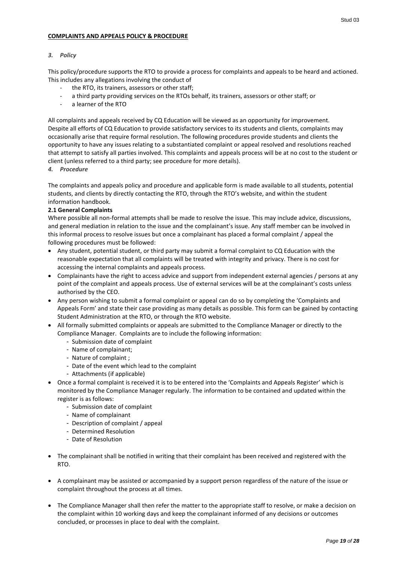#### <span id="page-18-0"></span>**COMPLAINTS AND APPEALS POLICY & PROCEDURE**

#### *3. Policy*

This policy/procedure supports the RTO to provide a process for complaints and appeals to be heard and actioned. This includes any allegations involving the conduct of

- the RTO, its trainers, assessors or other staff:
- a third party providing services on the RTOs behalf, its trainers, assessors or other staff; or
- a learner of the RTO

All complaints and appeals received by CQ Education will be viewed as an opportunity for improvement. Despite all efforts of CQ Education to provide satisfactory services to its students and clients, complaints may occasionally arise that require formal resolution. The following procedures provide students and clients the opportunity to have any issues relating to a substantiated complaint or appeal resolved and resolutions reached that attempt to satisfy all parties involved. This complaints and appeals process will be at no cost to the student or client (unless referred to a third party; see procedure for more details).

*4. Procedure*

The complaints and appeals policy and procedure and applicable form is made available to all students, potential students, and clients by directly contacting the RTO, through the RTO's website, and within the student information handbook.

#### **2.1 General Complaints**

Where possible all non-formal attempts shall be made to resolve the issue. This may include advice, discussions, and general mediation in relation to the issue and the complainant's issue. Any staff member can be involved in this informal process to resolve issues but once a complainant has placed a formal complaint / appeal the following procedures must be followed:

- Any student, potential student, or third party may submit a formal complaint to CQ Education with the reasonable expectation that all complaints will be treated with integrity and privacy. There is no cost for accessing the internal complaints and appeals process.
- Complainants have the right to access advice and support from independent external agencies / persons at any point of the complaint and appeals process. Use of external services will be at the complainant's costs unless authorised by the CEO.
- Any person wishing to submit a formal complaint or appeal can do so by completing the 'Complaints and Appeals Form' and state their case providing as many details as possible. This form can be gained by contacting Student Administration at the RTO, or through the RTO website.
- All formally submitted complaints or appeals are submitted to the Compliance Manager or directly to the Compliance Manager. Complaints are to include the following information:
	- Submission date of complaint
	- Name of complainant;
	- Nature of complaint ;
	- Date of the event which lead to the complaint
	- Attachments (if applicable)
- Once a formal complaint is received it is to be entered into the 'Complaints and Appeals Register' which is monitored by the Compliance Manager regularly. The information to be contained and updated within the register is as follows:
	- Submission date of complaint
	- Name of complainant
	- Description of complaint / appeal
	- Determined Resolution
	- Date of Resolution
- The complainant shall be notified in writing that their complaint has been received and registered with the RTO.
- A complainant may be assisted or accompanied by a support person regardless of the nature of the issue or complaint throughout the process at all times.
- The Compliance Manager shall then refer the matter to the appropriate staff to resolve, or make a decision on the complaint within 10 working days and keep the complainant informed of any decisions or outcomes concluded, or processes in place to deal with the complaint.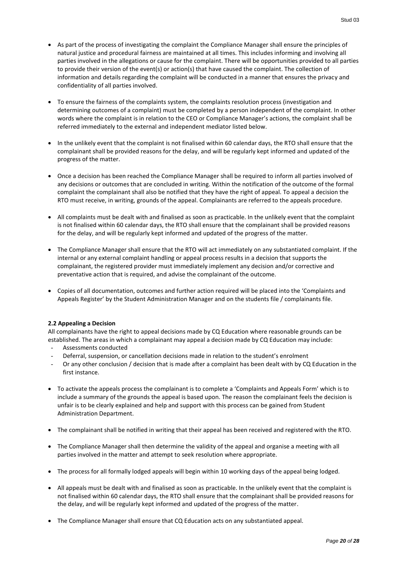- As part of the process of investigating the complaint the Compliance Manager shall ensure the principles of natural justice and procedural fairness are maintained at all times. This includes informing and involving all parties involved in the allegations or cause for the complaint. There will be opportunities provided to all parties to provide their version of the event(s) or action(s) that have caused the complaint. The collection of information and details regarding the complaint will be conducted in a manner that ensures the privacy and confidentiality of all parties involved.
- To ensure the fairness of the complaints system, the complaints resolution process (investigation and determining outcomes of a complaint) must be completed by a person independent of the complaint. In other words where the complaint is in relation to the CEO or Compliance Manager's actions, the complaint shall be referred immediately to the external and independent mediator listed below.
- In the unlikely event that the complaint is not finalised within 60 calendar days, the RTO shall ensure that the complainant shall be provided reasons for the delay, and will be regularly kept informed and updated of the progress of the matter.
- Once a decision has been reached the Compliance Manager shall be required to inform all parties involved of any decisions or outcomes that are concluded in writing. Within the notification of the outcome of the formal complaint the complainant shall also be notified that they have the right of appeal. To appeal a decision the RTO must receive, in writing, grounds of the appeal. Complainants are referred to the appeals procedure.
- All complaints must be dealt with and finalised as soon as practicable. In the unlikely event that the complaint is not finalised within 60 calendar days, the RTO shall ensure that the complainant shall be provided reasons for the delay, and will be regularly kept informed and updated of the progress of the matter.
- The Compliance Manager shall ensure that the RTO will act immediately on any substantiated complaint. If the internal or any external complaint handling or appeal process results in a decision that supports the complainant, the registered provider must immediately implement any decision and/or corrective and preventative action that is required, and advise the complainant of the outcome.
- Copies of all documentation, outcomes and further action required will be placed into the 'Complaints and Appeals Register' by the Student Administration Manager and on the students file / complainants file.

#### **2.2 Appealing a Decision**

All complainants have the right to appeal decisions made by CQ Education where reasonable grounds can be established. The areas in which a complainant may appeal a decision made by CQ Education may include:

- Assessments conducted
- Deferral, suspension, or cancellation decisions made in relation to the student's enrolment
- Or any other conclusion / decision that is made after a complaint has been dealt with by CQ Education in the first instance.
- To activate the appeals process the complainant is to complete a 'Complaints and Appeals Form' which is to include a summary of the grounds the appeal is based upon. The reason the complainant feels the decision is unfair is to be clearly explained and help and support with this process can be gained from Student Administration Department.
- The complainant shall be notified in writing that their appeal has been received and registered with the RTO.
- The Compliance Manager shall then determine the validity of the appeal and organise a meeting with all parties involved in the matter and attempt to seek resolution where appropriate.
- The process for all formally lodged appeals will begin within 10 working days of the appeal being lodged.
- All appeals must be dealt with and finalised as soon as practicable. In the unlikely event that the complaint is not finalised within 60 calendar days, the RTO shall ensure that the complainant shall be provided reasons for the delay, and will be regularly kept informed and updated of the progress of the matter.
- The Compliance Manager shall ensure that CQ Education acts on any substantiated appeal.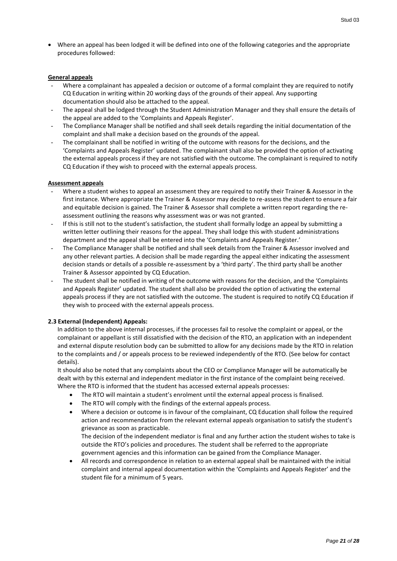Where an appeal has been lodged it will be defined into one of the following categories and the appropriate procedures followed:

#### **General appeals**

- Where a complainant has appealed a decision or outcome of a formal complaint they are required to notify CQ Education in writing within 20 working days of the grounds of their appeal. Any supporting documentation should also be attached to the appeal.
- The appeal shall be lodged through the Student Administration Manager and they shall ensure the details of the appeal are added to the 'Complaints and Appeals Register'.
- The Compliance Manager shall be notified and shall seek details regarding the initial documentation of the complaint and shall make a decision based on the grounds of the appeal.
- The complainant shall be notified in writing of the outcome with reasons for the decisions, and the 'Complaints and Appeals Register' updated. The complainant shall also be provided the option of activating the external appeals process if they are not satisfied with the outcome. The complainant is required to notify CQ Education if they wish to proceed with the external appeals process.

#### **Assessment appeals**

- Where a student wishes to appeal an assessment they are required to notify their Trainer & Assessor in the first instance. Where appropriate the Trainer & Assessor may decide to re-assess the student to ensure a fair and equitable decision is gained. The Trainer & Assessor shall complete a written report regarding the reassessment outlining the reasons why assessment was or was not granted.
- If this is still not to the student's satisfaction, the student shall formally lodge an appeal by submitting a written letter outlining their reasons for the appeal. They shall lodge this with student administrations department and the appeal shall be entered into the 'Complaints and Appeals Register.'
- The Compliance Manager shall be notified and shall seek details from the Trainer & Assessor involved and any other relevant parties. A decision shall be made regarding the appeal either indicating the assessment decision stands or details of a possible re-assessment by a 'third party'. The third party shall be another Trainer & Assessor appointed by CQ Education.
- The student shall be notified in writing of the outcome with reasons for the decision, and the 'Complaints and Appeals Register' updated. The student shall also be provided the option of activating the external appeals process if they are not satisfied with the outcome. The student is required to notify CQ Education if they wish to proceed with the external appeals process.

#### **2.3 External (Independent) Appeals:**

In addition to the above internal processes, if the processes fail to resolve the complaint or appeal, or the complainant or appellant is still dissatisfied with the decision of the RTO, an application with an independent and external dispute resolution body can be submitted to allow for any decisions made by the RTO in relation to the complaints and / or appeals process to be reviewed independently of the RTO. (See below for contact details).

It should also be noted that any complaints about the CEO or Compliance Manager will be automatically be dealt with by this external and independent mediator in the first instance of the complaint being received. Where the RTO is informed that the student has accessed external appeals processes:

- The RTO will maintain a student's enrolment until the external appeal process is finalised.
- The RTO will comply with the findings of the external appeals process.
- Where a decision or outcome is in favour of the complainant, CQ Education shall follow the required action and recommendation from the relevant external appeals organisation to satisfy the student's grievance as soon as practicable.

The decision of the independent mediator is final and any further action the student wishes to take is outside the RTO's policies and procedures. The student shall be referred to the appropriate government agencies and this information can be gained from the Compliance Manager.

 All records and correspondence in relation to an external appeal shall be maintained with the initial complaint and internal appeal documentation within the 'Complaints and Appeals Register' and the student file for a minimum of 5 years.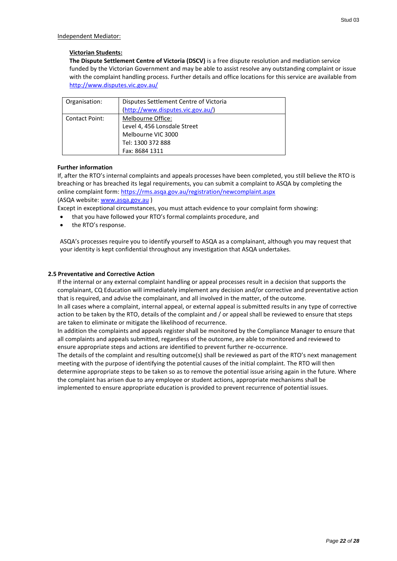#### Independent Mediator:

#### **Victorian Students:**

**The Dispute Settlement Centre of Victoria (DSCV)** is a free dispute resolution and mediation service funded by the Victorian Government and may be able to assist resolve any outstanding complaint or issue with the complaint handling process. Further details and office locations for this service are available from <http://www.disputes.vic.gov.au/>

| Organisation:         | Disputes Settlement Centre of Victoria |
|-----------------------|----------------------------------------|
|                       | (http://www.disputes.vic.gov.au/)      |
| <b>Contact Point:</b> | Melbourne Office:                      |
|                       | Level 4, 456 Lonsdale Street           |
|                       | Melbourne VIC 3000                     |
|                       | Tel: 1300 372 888                      |
|                       | Fax: 8684 1311                         |

#### **Further information**

If, after the RTO's internal complaints and appeals processes have been completed, you still believe the RTO is breaching or has breached its legal requirements, you can submit a complaint to ASQA by completing the online complaint form[: https://rms.asqa.gov.au/registration/newcomplaint.aspx](https://rms.asqa.gov.au/registration/newcomplaint.aspx) (ASQA website: [www.asqa.gov.au](http://www.asqa.gov.au/) )

Except in exceptional circumstances, you must attach evidence to your complaint form showing:

- that you have followed your RTO's formal complaints procedure, and
- the RTO's response.

ASQA's processes require you to identify yourself to ASQA as a complainant, although you may request that your identity is kept confidential throughout any investigation that ASQA undertakes.

#### **2.5 Preventative and Corrective Action**

If the internal or any external complaint handling or appeal processes result in a decision that supports the complainant, CQ Education will immediately implement any decision and/or corrective and preventative action that is required, and advise the complainant, and all involved in the matter, of the outcome.

In all cases where a complaint, internal appeal, or external appeal is submitted results in any type of corrective action to be taken by the RTO, details of the complaint and / or appeal shall be reviewed to ensure that steps are taken to eliminate or mitigate the likelihood of recurrence.

In addition the complaints and appeals register shall be monitored by the Compliance Manager to ensure that all complaints and appeals submitted, regardless of the outcome, are able to monitored and reviewed to ensure appropriate steps and actions are identified to prevent further re-occurrence.

The details of the complaint and resulting outcome(s) shall be reviewed as part of the RTO's next management meeting with the purpose of identifying the potential causes of the initial complaint. The RTO will then determine appropriate steps to be taken so as to remove the potential issue arising again in the future. Where the complaint has arisen due to any employee or student actions, appropriate mechanisms shall be implemented to ensure appropriate education is provided to prevent recurrence of potential issues.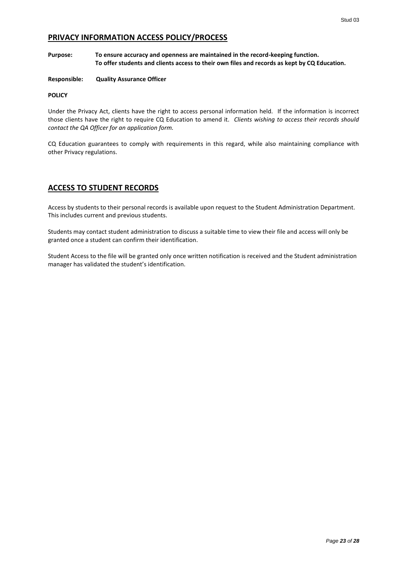# <span id="page-22-0"></span>**PRIVACY INFORMATION ACCESS POLICY/PROCESS**

#### **Purpose: To ensure accuracy and openness are maintained in the record-keeping function. To offer students and clients access to their own files and records as kept by CQ Education.**

#### **Responsible: Quality Assurance Officer**

#### **POLICY**

Under the Privacy Act, clients have the right to access personal information held. If the information is incorrect those clients have the right to require CQ Education to amend it. *Clients wishing to access their records should contact the QA Officer for an application form.*

CQ Education guarantees to comply with requirements in this regard, while also maintaining compliance with other Privacy regulations.

# <span id="page-22-1"></span>**ACCESS TO STUDENT RECORDS**

Access by students to their personal records is available upon request to the Student Administration Department. This includes current and previous students.

Students may contact student administration to discuss a suitable time to view their file and access will only be granted once a student can confirm their identification.

Student Access to the file will be granted only once written notification is received and the Student administration manager has validated the student's identification.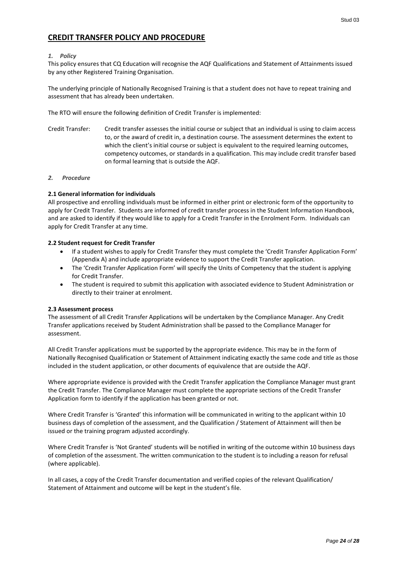# <span id="page-23-0"></span>**CREDIT TRANSFER POLICY AND PROCEDURE**

#### *1. Policy*

This policy ensures that CQ Education will recognise the AQF Qualifications and Statement of Attainments issued by any other Registered Training Organisation.

The underlying principle of Nationally Recognised Training is that a student does not have to repeat training and assessment that has already been undertaken.

The RTO will ensure the following definition of Credit Transfer is implemented:

Credit Transfer: Credit transfer assesses the initial course or subject that an individual is using to claim access to, or the award of credit in, a destination course. The assessment determines the extent to which the client's initial course or subject is equivalent to the required learning outcomes, competency outcomes, or standards in a qualification. This may include credit transfer based on formal learning that is outside the AQF.

#### *2. Procedure*

#### **2.1 General information for individuals**

All prospective and enrolling individuals must be informed in either print or electronic form of the opportunity to apply for Credit Transfer. Students are informed of credit transfer process in the Student Information Handbook, and are asked to identify if they would like to apply for a Credit Transfer in the Enrolment Form. Individuals can apply for Credit Transfer at any time.

#### **2.2 Student request for Credit Transfer**

- If a student wishes to apply for Credit Transfer they must complete the 'Credit Transfer Application Form' (Appendix A) and include appropriate evidence to support the Credit Transfer application.
- The 'Credit Transfer Application Form' will specify the Units of Competency that the student is applying for Credit Transfer.
- The student is required to submit this application with associated evidence to Student Administration or directly to their trainer at enrolment.

#### **2.3 Assessment process**

The assessment of all Credit Transfer Applications will be undertaken by the Compliance Manager. Any Credit Transfer applications received by Student Administration shall be passed to the Compliance Manager for assessment.

All Credit Transfer applications must be supported by the appropriate evidence. This may be in the form of Nationally Recognised Qualification or Statement of Attainment indicating exactly the same code and title as those included in the student application, or other documents of equivalence that are outside the AQF.

Where appropriate evidence is provided with the Credit Transfer application the Compliance Manager must grant the Credit Transfer. The Compliance Manager must complete the appropriate sections of the Credit Transfer Application form to identify if the application has been granted or not.

Where Credit Transfer is 'Granted' this information will be communicated in writing to the applicant within 10 business days of completion of the assessment, and the Qualification / Statement of Attainment will then be issued or the training program adjusted accordingly.

Where Credit Transfer is 'Not Granted' students will be notified in writing of the outcome within 10 business days of completion of the assessment. The written communication to the student is to including a reason for refusal (where applicable).

In all cases, a copy of the Credit Transfer documentation and verified copies of the relevant Qualification/ Statement of Attainment and outcome will be kept in the student's file.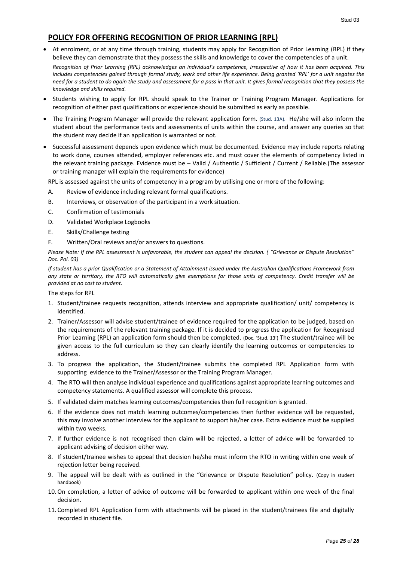# <span id="page-24-0"></span>**POLICY FOR OFFERING RECOGNITION OF PRIOR LEARNING (RPL)**

 At enrolment, or at any time through training, students may apply for Recognition of Prior Learning (RPL) if they believe they can demonstrate that they possess the skills and knowledge to cover the competencies of a unit.

*Recognition of Prior Learning (RPL) acknowledges an individual's competence, irrespective of how it has been acquired. This includes competencies gained through formal study, work and other life experience. Being granted 'RPL' for a unit negates the need for a student to do again the study and assessment for a pass in that unit. It gives formal recognition that they possess the knowledge and skills required.*

- Students wishing to apply for RPL should speak to the Trainer or Training Program Manager. Applications for recognition of either past qualifications or experience should be submitted as early as possible.
- The Training Program Manager will provide the relevant application form. (Stud. 13A). He/she will also inform the student about the performance tests and assessments of units within the course, and answer any queries so that the student may decide if an application is warranted or not.
- Successful assessment depends upon evidence which must be documented. Evidence may include reports relating to work done, courses attended, employer references etc. and must cover the elements of competency listed in the relevant training package. Evidence must be – Valid / Authentic / Sufficient / Current / Reliable.(The assessor or training manager will explain the requirements for evidence)

RPL is assessed against the units of competency in a program by utilising one or more of the following:

- A. Review of evidence including relevant formal qualifications.
- B. Interviews, or observation of the participant in a work situation.
- C. Confirmation of testimonials
- D. Validated Workplace Logbooks
- E. Skills/Challenge testing
- F. Written/Oral reviews and/or answers to questions.

*Please Note: If the RPL assessment is unfavorable, the student can appeal the decision. ( "Grievance or Dispute Resolution" Doc. Pol. 03)*

*If student has a prior Qualification or a Statement of Attainment issued under the Australian Qualifications Framework from any state or territory, the RTO will automatically give exemptions for those units of competency. Credit transfer will be provided at no cost to student.*

The steps for RPL

- 1. Student/trainee requests recognition, attends interview and appropriate qualification/ unit/ competency is identified.
- 2. Trainer/Assessor will advise student/trainee of evidence required for the application to be judged, based on the requirements of the relevant training package. If it is decided to progress the application for Recognised Prior Learning (RPL) an application form should then be completed. (Doc. 'Stud. 13') The student/trainee will be given access to the full curriculum so they can clearly identify the learning outcomes or competencies to address.
- 3. To progress the application, the Student/trainee submits the completed RPL Application form with supporting evidence to the Trainer/Assessor or the Training Program Manager.
- 4. The RTO will then analyse individual experience and qualifications against appropriate learning outcomes and competency statements. A qualified assessor will complete this process.
- 5. If validated claim matches learning outcomes/competencies then full recognition is granted.
- 6. If the evidence does not match learning outcomes/competencies then further evidence will be requested, this may involve another interview for the applicant to support his/her case. Extra evidence must be supplied within two weeks.
- 7. If further evidence is not recognised then claim will be rejected, a letter of advice will be forwarded to applicant advising of decision either way.
- 8. If student/trainee wishes to appeal that decision he/she must inform the RTO in writing within one week of rejection letter being received.
- 9. The appeal will be dealt with as outlined in the "Grievance or Dispute Resolution" policy. (Copy in student handbook)
- 10.On completion, a letter of advice of outcome will be forwarded to applicant within one week of the final decision.
- 11. Completed RPL Application Form with attachments will be placed in the student/trainees file and digitally recorded in student file.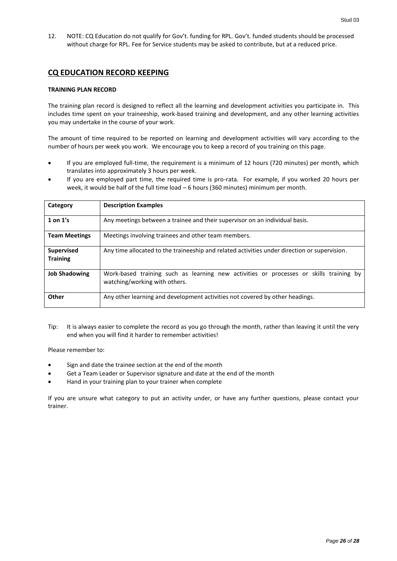12. NOTE: CQ Education do not qualify for Gov't. funding for RPL. Gov't. funded students should be processed without charge for RPL. Fee for Service students may be asked to contribute, but at a reduced price.

# <span id="page-25-0"></span>**CQ EDUCATION RECORD KEEPING**

#### **TRAINING PLAN RECORD**

The training plan record is designed to reflect all the learning and development activities you participate in. This includes time spent on your traineeship, work-based training and development, and any other learning activities you may undertake in the course of your work.

The amount of time required to be reported on learning and development activities will vary according to the number of hours per week you work. We encourage you to keep a record of you training on this page.

- If you are employed full-time, the requirement is a minimum of 12 hours (720 minutes) per month, which translates into approximately 3 hours per week.
- If you are employed part time, the required time is pro-rata. For example, if you worked 20 hours per week, it would be half of the full time load – 6 hours (360 minutes) minimum per month.

| Category                             | <b>Description Examples</b>                                                                                             |
|--------------------------------------|-------------------------------------------------------------------------------------------------------------------------|
| 1 on $1's$                           | Any meetings between a trainee and their supervisor on an individual basis.                                             |
| <b>Team Meetings</b>                 | Meetings involving trainees and other team members.                                                                     |
| <b>Supervised</b><br><b>Training</b> | Any time allocated to the traineeship and related activities under direction or supervision.                            |
| <b>Job Shadowing</b>                 | Work-based training such as learning new activities or processes or skills training by<br>watching/working with others. |
| Other                                | Any other learning and development activities not covered by other headings.                                            |

Tip: It is always easier to complete the record as you go through the month, rather than leaving it until the very end when you will find it harder to remember activities!

Please remember to:

- Sign and date the trainee section at the end of the month
- Get a Team Leader or Supervisor signature and date at the end of the month
- Hand in your training plan to your trainer when complete

If you are unsure what category to put an activity under, or have any further questions, please contact your trainer.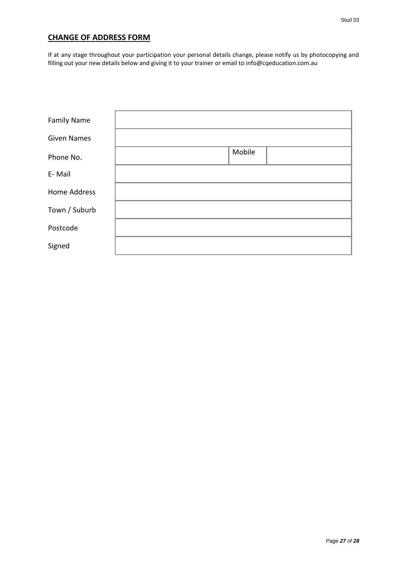# <span id="page-26-0"></span>**CHANGE OF ADDRESS FORM**

If at any stage throughout your participation your personal details change, please notify us by photocopying and filling out your new details below and giving it to your trainer or email to info@cqeducation.com.au

| <b>Family Name</b>  |        |
|---------------------|--------|
| <b>Given Names</b>  |        |
| Phone No.           | Mobile |
| E-Mail              |        |
| <b>Home Address</b> |        |
| Town / Suburb       |        |
| Postcode            |        |
| Signed              |        |